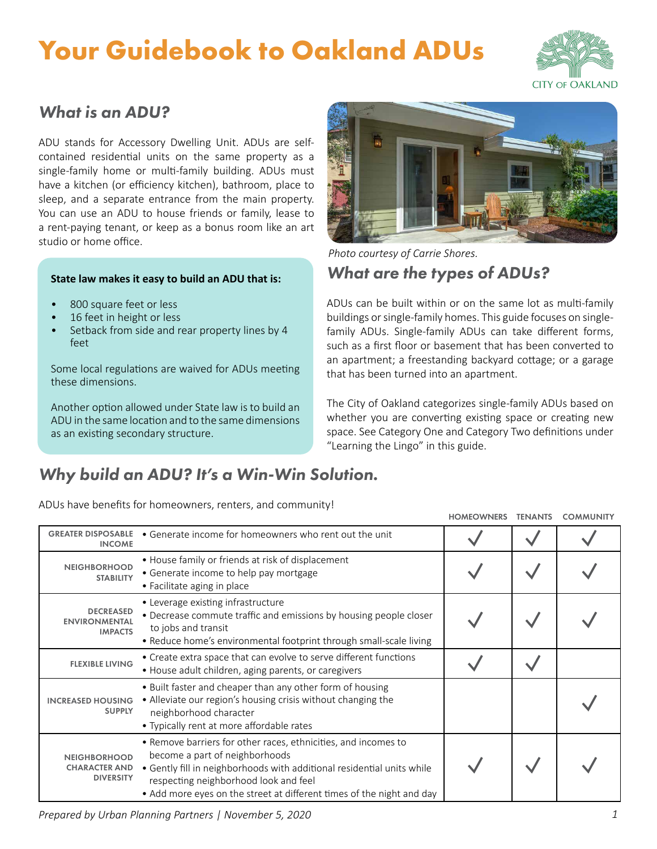## **Your Guidebook to Oakland ADUs**



### *What is an ADU?*

ADU stands for Accessory Dwelling Unit. ADUs are selfcontained residential units on the same property as a single-family home or multi-family building. ADUs must have a kitchen (or efficiency kitchen), bathroom, place to sleep, and a separate entrance from the main property. You can use an ADU to house friends or family, lease to a rent-paying tenant, or keep as a bonus room like an art studio or home office.

#### **State law makes it easy to build an ADU that is:**

- 800 square feet or less
- 16 feet in height or less
- Setback from side and rear property lines by 4 feet

Some local regulations are waived for ADUs meeting these dimensions.

Another option allowed under State law is to build an ADU in the same location and to the same dimensions as an existing secondary structure.



*What are the types of ADUs? Photo courtesy of Carrie Shores.*

ADUs can be built within or on the same lot as multi-family buildings or single-family homes. This guide focuses on singlefamily ADUs. Single-family ADUs can take different forms, such as a first floor or basement that has been converted to an apartment; a freestanding backyard cottage; or a garage that has been turned into an apartment.

The City of Oakland categorizes single-family ADUs based on whether you are converting existing space or creating new space. See Category One and Category Two definitions under "Learning the Lingo" in this guide.

### *Why build an ADU? It's a Win-Win Solution.*

ADUs have benefits for homeowners, renters, and community!

|                                                                 |                                                                                                                                                                                                                                                                                              | <b>HOMEOWNERS</b> | <b>TENANTS</b> | <b>COMMUNITY</b> |
|-----------------------------------------------------------------|----------------------------------------------------------------------------------------------------------------------------------------------------------------------------------------------------------------------------------------------------------------------------------------------|-------------------|----------------|------------------|
| <b>GREATER DISPOSABLE</b><br><b>INCOME</b>                      | • Generate income for homeowners who rent out the unit                                                                                                                                                                                                                                       |                   |                |                  |
| <b>NEIGHBORHOOD</b><br><b>STABILITY</b>                         | • House family or friends at risk of displacement<br>• Generate income to help pay mortgage<br>• Facilitate aging in place                                                                                                                                                                   |                   |                |                  |
| <b>DECREASED</b><br><b>ENVIRONMENTAL</b><br><b>IMPACTS</b>      | • Leverage existing infrastructure<br>• Decrease commute traffic and emissions by housing people closer<br>to jobs and transit<br>• Reduce home's environmental footprint through small-scale living                                                                                         |                   |                |                  |
| <b>FLEXIBLE LIVING</b>                                          | • Create extra space that can evolve to serve different functions<br>• House adult children, aging parents, or caregivers                                                                                                                                                                    |                   |                |                  |
| <b>INCREASED HOUSING</b><br><b>SUPPLY</b>                       | • Built faster and cheaper than any other form of housing<br>• Alleviate our region's housing crisis without changing the<br>neighborhood character<br>• Typically rent at more affordable rates                                                                                             |                   |                |                  |
| <b>NEIGHBORHOOD</b><br><b>CHARACTER AND</b><br><b>DIVERSITY</b> | • Remove barriers for other races, ethnicities, and incomes to<br>become a part of neighborhoods<br>• Gently fill in neighborhoods with additional residential units while<br>respecting neighborhood look and feel<br>• Add more eyes on the street at different times of the night and day |                   |                |                  |

*Prepared by Urban Planning Partners | November 5, 2020 1*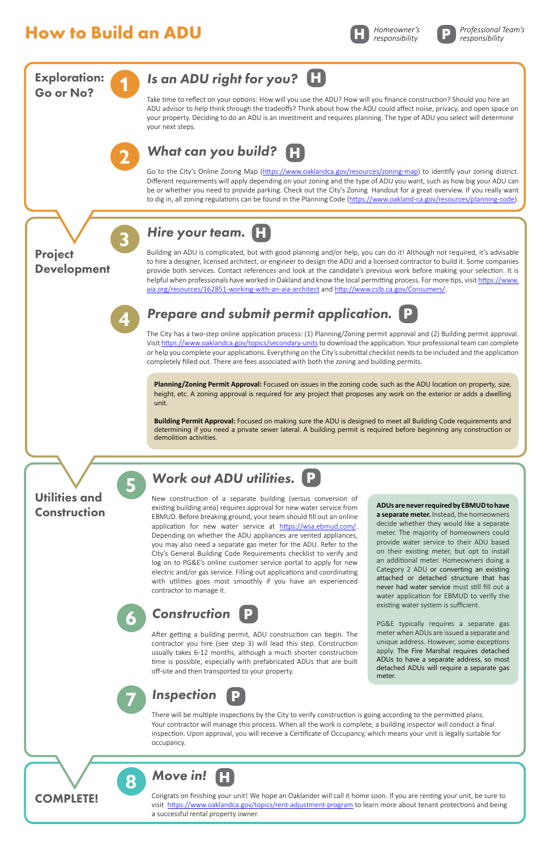### **How to Build an ADU**

**6**

**8**



*Construction*

After getting a building permit, ADU construction can begin. The contractor you hire (see step 3) will lead this step. Construction usually takes 6-12 months, although a much shorter construction time is possible, especially with prefabricated ADUs that are built off-site and then transported to your property.

There will be multiple inspections by the City to verify construction is going according to the permitted plans. Your contractor will manage this process. When all the work is complete, a building inspector will conduct a final inspection. Upon approval, you will receive a Certificate of Occupancy, which means your unit is legally suitable for occupancy.



Congrats on finishing your unit! We hope an Oaklander will call it home soon. If you are renting your unit, be sure to visit <https://www.oaklandca.gov/topics/rent-adjustment-program>to learn more about tenant protections and being a successful rental property owner.



#### *Move in!* **H**

PG&E typically requires a separate gas meter when ADUs are issued a separate and unique address. However, some exceptions apply. The Fire Marshal requires detached ADUs to have a separate address, so most detached ADUs will require a separate gas meter.

**P**

**P**

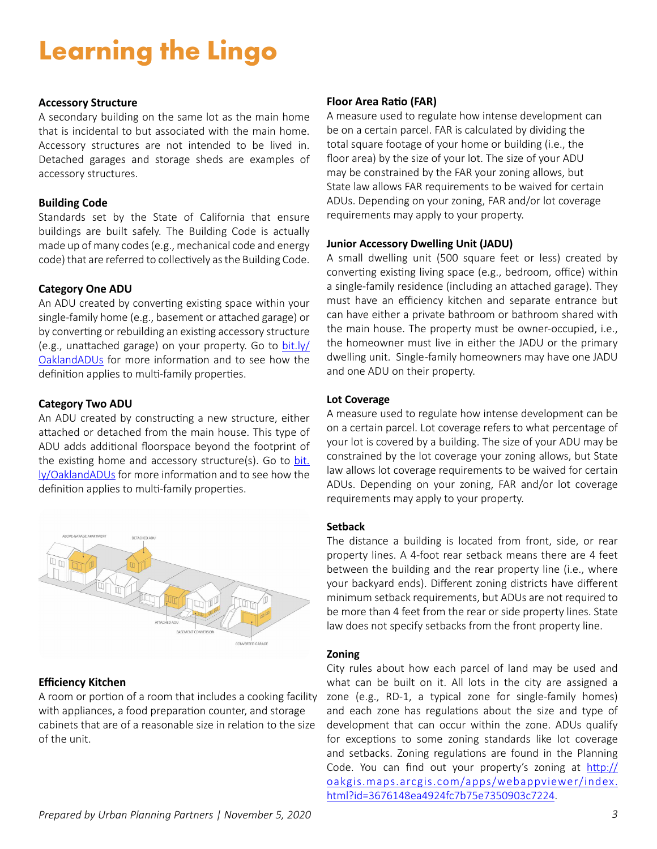## **Learning the Lingo**

#### **Accessory Structure**

A secondary building on the same lot as the main home that is incidental to but associated with the main home. Accessory structures are not intended to be lived in. Detached garages and storage sheds are examples of accessory structures.

#### **Building Code**

Standards set by the State of California that ensure buildings are built safely. The Building Code is actually made up of many codes (e.g., mechanical code and energy code) that are referred to collectively as the Building Code.

#### **Category One ADU**

An ADU created by converting existing space within your single-family home (e.g., basement or attached garage) or by converting or rebuilding an existing accessory structure (e.g., unattached garage) on your property. Go to [bit.ly/](http://bit.ly/OaklandADUs) [OaklandADUs](http://bit.ly/OaklandADUs) for more information and to see how the definition applies to multi-family properties.

#### **Category Two ADU**

An ADU created by constructing a new structure, either attached or detached from the main house. This type of ADU adds additional floorspace beyond the footprint of the existing home and accessory structure(s). Go to [bit.](http://bit.ly/OaklandADUs) [ly/OaklandADUs](http://bit.ly/OaklandADUs) for more information and to see how the definition applies to multi-family properties.



#### **Efficiency Kitchen**

A room or portion of a room that includes a cooking facility with appliances, a food preparation counter, and storage cabinets that are of a reasonable size in relation to the size of the unit.

#### **Floor Area Ratio (FAR)**

A measure used to regulate how intense development can be on a certain parcel. FAR is calculated by dividing the total square footage of your home or building (i.e., the floor area) by the size of your lot. The size of your ADU may be constrained by the FAR your zoning allows, but State law allows FAR requirements to be waived for certain ADUs. Depending on your zoning, FAR and/or lot coverage requirements may apply to your property.

#### **Junior Accessory Dwelling Unit (JADU)**

A small dwelling unit (500 square feet or less) created by converting existing living space (e.g., bedroom, office) within a single-family residence (including an attached garage). They must have an efficiency kitchen and separate entrance but can have either a private bathroom or bathroom shared with the main house. The property must be owner-occupied, i.e., the homeowner must live in either the JADU or the primary dwelling unit. Single -family homeowners may have one JADU and one ADU on their property.

#### **Lot Coverage**

A measure used to regulate how intense development can be on a certain parcel. Lot coverage refers to what percentage of your lot is covered by a building. The size of your ADU may be constrained by the lot coverage your zoning allows, but State law allows lot coverage requirements to be waived for certain ADUs. Depending on your zoning, FAR and/or lot coverage requirements may apply to your property.

#### **Setback**

The distance a building is located from front, side, or rear property lines. A 4-foot rear setback means there are 4 feet between the building and the rear property line (i.e., where your backyard ends). Different zoning districts have different minimum setback requirements, but ADUs are not required to be more than 4 feet from the rear or side property lines. State law does not specify setbacks from the front property line.

#### **Zoning**

City rules about how each parcel of land may be used and what can be built on it. All lots in the city are assigned a zone (e.g., RD-1, a typical zone for single-family homes) and each zone has regulations about the size and type of development that can occur within the zone. ADUs qualify for exceptions to some zoning standards like lot coverage and setbacks. Zoning regulations are found in the [Planning](https://library.municode.com/ca/oakland/codes/planning_code) [Code](https://library.municode.com/ca/oakland/codes/planning_code). You can find out your property's zoning at [http://](http://oakgis.maps.arcgis.com/apps/webappviewer/index.html?id=3676148ea4924fc7b75e7350903c7224) [oakgis.maps.arcgis.com/apps/webappviewer/index.](http://oakgis.maps.arcgis.com/apps/webappviewer/index.html?id=3676148ea4924fc7b75e7350903c7224) [html?id=3676148ea4924fc7b75e7350903c7224](http://oakgis.maps.arcgis.com/apps/webappviewer/index.html?id=3676148ea4924fc7b75e7350903c7224).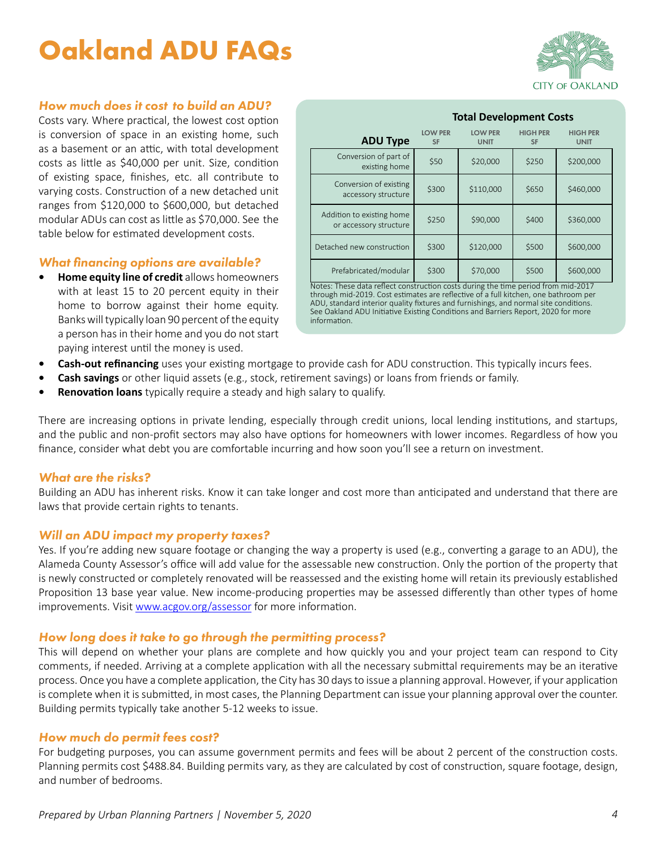## **Oakland ADU FAQs**



#### *How much does it cost to build an ADU?*

Costs vary. Where practical, the lowest cost option is conversion of space in an existing home, such as a basement or an attic, with total development costs as little as \$40,000 per unit. Size, condition of existing space, finishes, etc. all contribute to varying costs. Construction of a new detached unit ranges from \$120,000 to \$600,000, but detached modular ADUs can cost as little as \$70,000. See the table below for estimated development costs.

#### *What financing options are available?*

**• Home equity line of credit** allows homeowners with at least 15 to 20 percent equity in their home to borrow against their home equity. Banks will typically loan 90 percent of the equity a person has in their home and you do not start paying interest until the money is used.

|                                                     | <b>Total Development Costs</b> |                               |                              |                                |  |
|-----------------------------------------------------|--------------------------------|-------------------------------|------------------------------|--------------------------------|--|
| <b>ADU Type</b>                                     | <b>LOW PER</b><br><b>SF</b>    | <b>LOW PER</b><br><b>UNIT</b> | <b>HIGH PER</b><br><b>SF</b> | <b>HIGH PER</b><br><b>UNIT</b> |  |
| Conversion of part of<br>existing home              | \$50                           | \$20,000                      | \$250                        | \$200,000                      |  |
| Conversion of existing<br>accessory structure       | \$300                          | \$110,000                     | \$650                        | \$460,000                      |  |
| Addition to existing home<br>or accessory structure | \$250                          | \$90,000                      | \$400                        | \$360,000                      |  |
| Detached new construction                           | \$300                          | \$120,000                     | \$500                        | \$600,000                      |  |
| Prefabricated/modular                               | \$300                          | \$70,000                      | \$500                        | \$600,000                      |  |

Notes: These data reflect construction costs during the time period from mid-2017 through mid-2019. Cost estimates are reflective of a full kitchen, one bathroom per ADU, standard interior quality fixtures and furnishings, and normal site conditions. See Oakland ADU Initiative Existing Conditions and Barriers Report, 2020 for more information.

- **• Cash-out refinancing** uses your existing mortgage to provide cash for ADU construction. This typically incurs fees.
- **• Cash savings** or other liquid assets (e.g., stock, retirement savings) or loans from friends or family.
- **Renovation loans** typically require a steady and high salary to qualify.

There are increasing options in private lending, especially through credit unions, local lending institutions, and startups, and the public and non-profit sectors may also have options for homeowners with lower incomes. Regardless of how you finance, consider what debt you are comfortable incurring and how soon you'll see a return on investment.

#### *What are the risks?*

Building an ADU has inherent risks. Know it can take longer and cost more than anticipated and understand that there are laws that provide certain rights to tenants.

#### *Will an ADU impact my property taxes?*

Yes. If you're adding new square footage or changing the way a property is used (e.g., converting a garage to an ADU), the Alameda County Assessor's office will add value for the assessable new construction. Only the portion of the property that is newly constructed or completely renovated will be reassessed and the existing home will retain its previously established Proposition 13 base year value. New income-producing properties may be assessed differently than other types of home improvements. Visit [www.acgov.org/assessor](http://www.acgov.org/assessor) for more information.

#### *How long does it take to go through the permitting process?*

This will depend on whether your plans are complete and how quickly you and your project team can respond to City comments, if needed. Arriving at a complete application with all the necessary submittal requirements may be an iterative process. Once you have a complete application, the City has 30 days to issue a planning approval. However, if your application is complete when it is submitted, in most cases, the Planning Department can issue your planning approval over the counter. Building permits typically take another 5-12 weeks to issue.

#### *How much do permit fees cost?*

For budgeting purposes, you can assume government permits and fees will be about 2 percent of the construction costs. Planning permits cost \$488.84. Building permits vary, as they are calculated by cost of construction, square footage, design, and number of bedrooms.